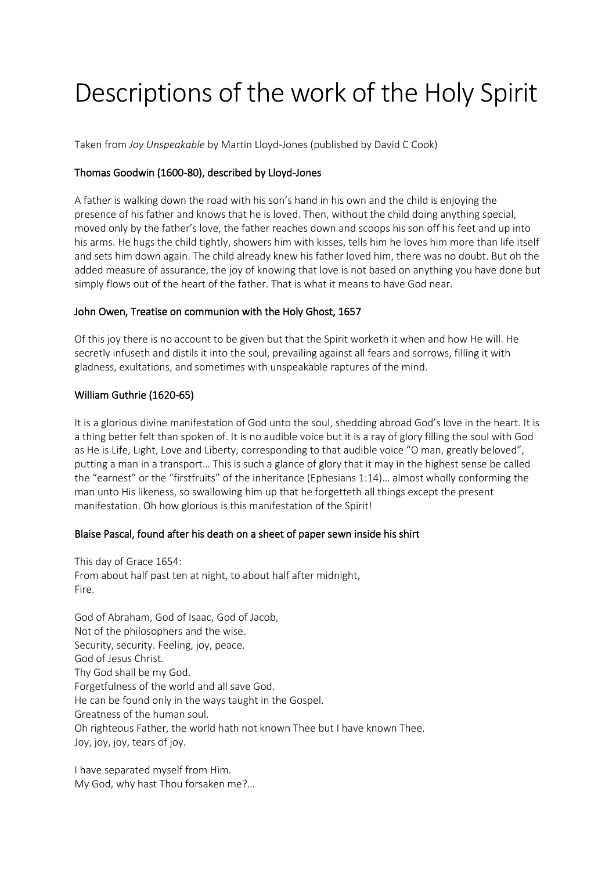# Descriptions of the work of the Holy Spirit

Taken from *Joy Unspeakable* by Martin Lloyd-Jones (published by David C Cook)

## Thomas Goodwin (1600-80), described by Lloyd-Jones

A father is walking down the road with his son's hand in his own and the child is enjoying the presence of his father and knows that he is loved. Then, without the child doing anything special, moved only by the father's love, the father reaches down and scoops his son off his feet and up into his arms. He hugs the child tightly, showers him with kisses, tells him he loves him more than life itself and sets him down again. The child already knew his father loved him, there was no doubt. But oh the added measure of assurance, the joy of knowing that love is not based on anything you have done but simply flows out of the heart of the father. That is what it means to have God near.

### John Owen, Treatise on communion with the Holy Ghost, 1657

Of this joy there is no account to be given but that the Spirit worketh it when and how He will. He secretly infuseth and distils it into the soul, prevailing against all fears and sorrows, filling it with gladness, exultations, and sometimes with unspeakable raptures of the mind.

#### William Guthrie (1620-65)

It is a glorious divine manifestation of God unto the soul, shedding abroad God's love in the heart. It is a thing better felt than spoken of. It is no audible voice but it is a ray of glory filling the soul with God as He is Life, Light, Love and Liberty, corresponding to that audible voice "O man, greatly beloved", putting a man in a transport… This is such a glance of glory that it may in the highest sense be called the "earnest" or the "firstfruits" of the inheritance (Ephesians 1:14)… almost wholly conforming the man unto His likeness, so swallowing him up that he forgetteth all things except the present manifestation. Oh how glorious is this manifestation of the Spirit!

## Blaise Pascal, found after his death on a sheet of paper sewn inside his shirt

This day of Grace 1654: From about half past ten at night, to about half after midnight, Fire.

God of Abraham, God of Isaac, God of Jacob, Not of the philosophers and the wise. Security, security. Feeling, joy, peace. God of Jesus Christ. Thy God shall be my God. Forgetfulness of the world and all save God. He can be found only in the ways taught in the Gospel. Greatness of the human soul. Oh righteous Father, the world hath not known Thee but I have known Thee. Joy, joy, joy, tears of joy.

I have separated myself from Him. My God, why hast Thou forsaken me?…